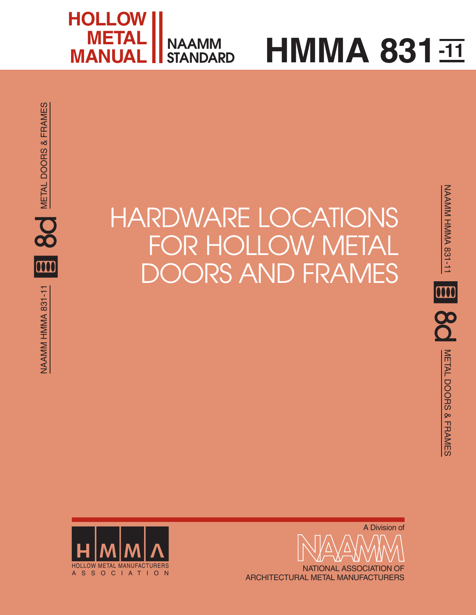

# **HMMA 831** $\overline{11}$

# HARDWARE LOCATIONS FOR HOLLOW METAL DOORS AND FRAMES





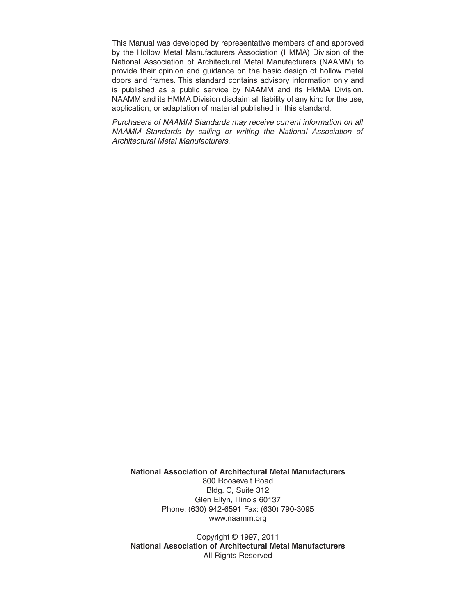This Manual was developed by representative members of and approved by the Hollow Metal Manufacturers Association (HMMA) Division of the National Association of Architectural Metal Manufacturers (NAAMM) to provide their opinion and guidance on the basic design of hollow metal doors and frames. This standard contains advisory information only and is published as a public service by NAAMM and its HMMA Division. NAAMM and its HMMA Division disclaim all liability of any kind for the use, application, or adaptation of material published in this standard.

Purchasers of NAAMM Standards may receive current information on all NAAMM Standards by calling or writing the National Association of Architectural Metal Manufacturers.

**National Association of Architectural Metal Manufacturers**

800 Roosevelt Road Bldg. C, Suite 312 Glen Ellyn, Illinois 60137 Phone: (630) 942-6591 Fax: (630) 790-3095 www.naamm.org

Copyright © 1997, 2011 **National Association of Architectural Metal Manufacturers** All Rights Reserved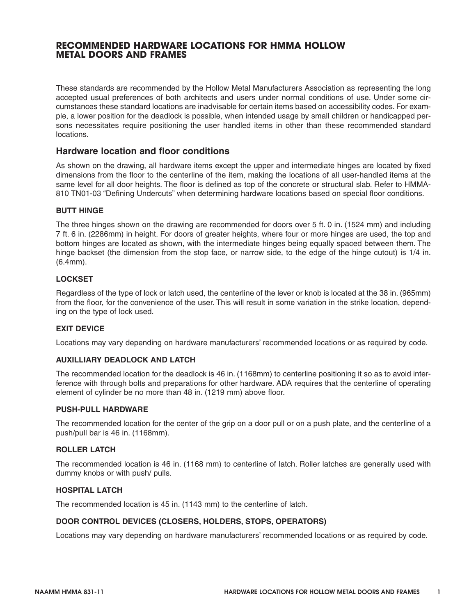#### **RECOMMENDED HARDWARE LOCATIONS FOR HMMA HOLLOW METAL DOORS AND FRAMES**

These standards are recommended by the Hollow Metal Manufacturers Association as representing the long accepted usual preferences of both architects and users under normal conditions of use. Under some circumstances these standard locations are inadvisable for certain items based on accessibility codes. For example, a lower position for the deadlock is possible, when intended usage by small children or handicapped persons necessitates require positioning the user handled items in other than these recommended standard locations.

#### **Hardware location and floor conditions**

As shown on the drawing, all hardware items except the upper and intermediate hinges are located by fixed dimensions from the floor to the centerline of the item, making the locations of all user-handled items at the same level for all door heights. The floor is defined as top of the concrete or structural slab. Refer to HMMA-810 TN01-03 "Defining Undercuts" when determining hardware locations based on special floor conditions.

#### **BUTT HINGE**

The three hinges shown on the drawing are recommended for doors over 5 ft. 0 in. (1524 mm) and including 7 ft. 6 in. (2286mm) in height. For doors of greater heights, where four or more hinges are used, the top and bottom hinges are located as shown, with the intermediate hinges being equally spaced between them. The hinge backset (the dimension from the stop face, or narrow side, to the edge of the hinge cutout) is 1/4 in. (6.4mm).

#### **LOCKSET**

Regardless of the type of lock or latch used, the centerline of the lever or knob is located at the 38 in. (965mm) from the floor, for the convenience of the user. This will result in some variation in the strike location, depending on the type of lock used.

#### **EXIT DEVICE**

Locations may vary depending on hardware manufacturers' recommended locations or as required by code.

#### **AUXILLIARY DEADLOCK AND LATCH**

The recommended location for the deadlock is 46 in. (1168mm) to centerline positioning it so as to avoid interference with through bolts and preparations for other hardware. ADA requires that the centerline of operating element of cylinder be no more than 48 in. (1219 mm) above floor.

#### **PUSH-PULL HARDWARE**

The recommended location for the center of the grip on a door pull or on a push plate, and the centerline of a push/pull bar is 46 in. (1168mm).

#### **ROLLER LATCH**

The recommended location is 46 in. (1168 mm) to centerline of latch. Roller latches are generally used with dummy knobs or with push/ pulls.

#### **HOSPITAL LATCH**

The recommended location is 45 in. (1143 mm) to the centerline of latch.

#### **DOOR CONTROL DEVICES (CLOSERS, HOLDERS, STOPS, OPERATORS)**

Locations may vary depending on hardware manufacturers' recommended locations or as required by code.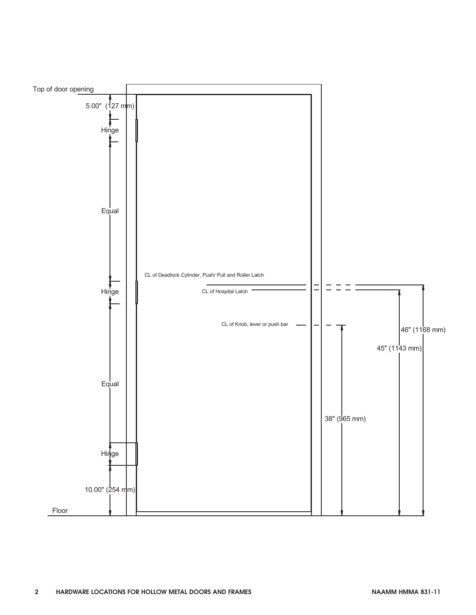